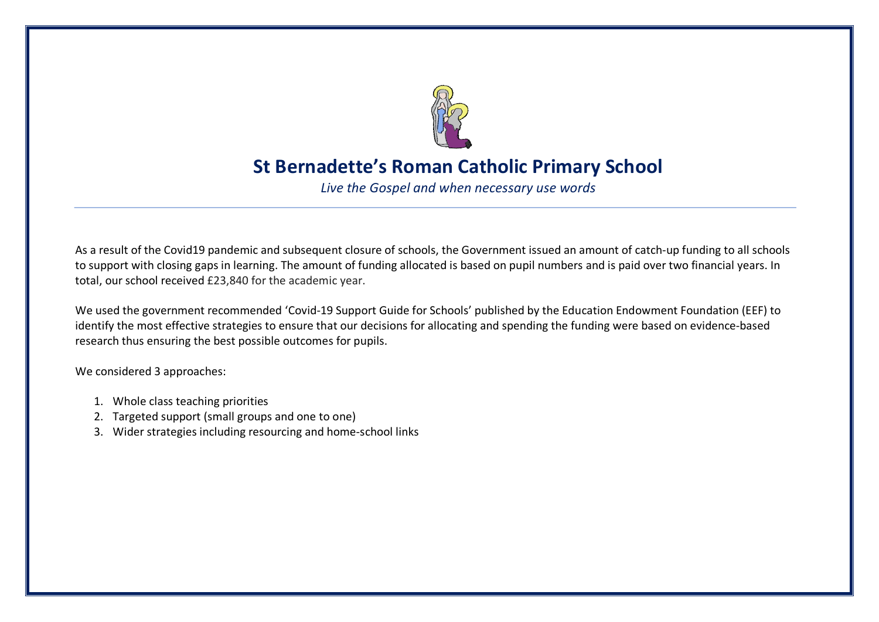

## **St Bernadette's Roman Catholic Primary School**

*Live the Gospel and when necessary use words*

As a result of the Covid19 pandemic and subsequent closure of schools, the Government issued an amount of catch-up funding to all schools to support with closing gaps in learning. The amount of funding allocated is based on pupil numbers and is paid over two financial years. In total, our school received £23,840 for the academic year.

We used the government recommended 'Covid-19 Support Guide for Schools' published by the Education Endowment Foundation (EEF) to identify the most effective strategies to ensure that our decisions for allocating and spending the funding were based on evidence-based research thus ensuring the best possible outcomes for pupils.

We considered 3 approaches:

- 1. Whole class teaching priorities
- 2. Targeted support (small groups and one to one)
- 3. Wider strategies including resourcing and home-school links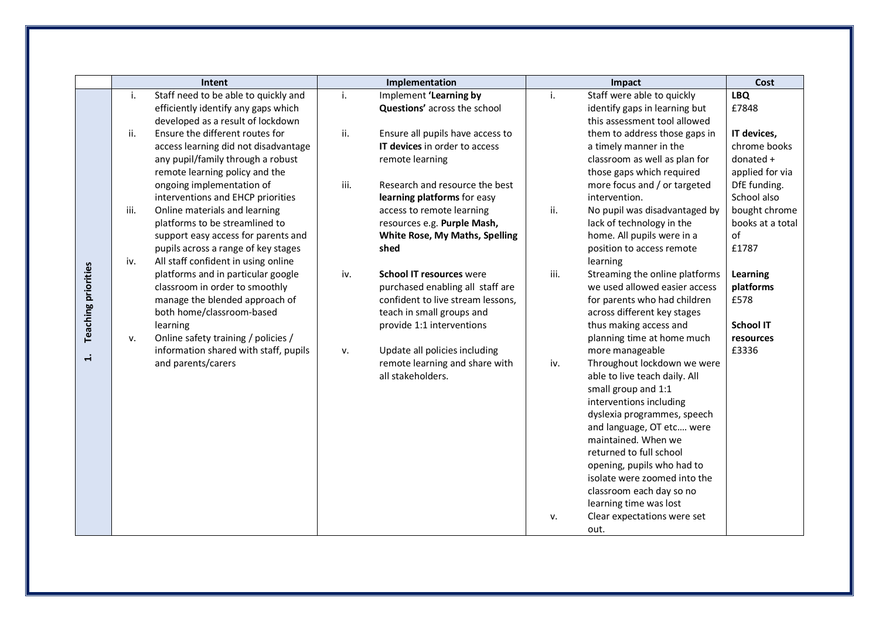|                            |      | Intent                                                                   |      | Implementation                    |      | Impact                                                          | Cost                  |
|----------------------------|------|--------------------------------------------------------------------------|------|-----------------------------------|------|-----------------------------------------------------------------|-----------------------|
|                            | i.   | Staff need to be able to quickly and                                     | i.   | Implement 'Learning by            | i.   | Staff were able to quickly                                      | <b>LBQ</b>            |
|                            |      | efficiently identify any gaps which<br>developed as a result of lockdown |      | Questions' across the school      |      | identify gaps in learning but<br>this assessment tool allowed   | £7848                 |
|                            | ii.  | Ensure the different routes for                                          | ii.  | Ensure all pupils have access to  |      | them to address those gaps in                                   | IT devices,           |
|                            |      | access learning did not disadvantage                                     |      | IT devices in order to access     |      | a timely manner in the                                          | chrome books          |
|                            |      | any pupil/family through a robust                                        |      | remote learning                   |      | classroom as well as plan for                                   | donated +             |
|                            |      | remote learning policy and the                                           |      |                                   |      | those gaps which required                                       | applied for via       |
|                            |      | ongoing implementation of                                                | iii. | Research and resource the best    |      | more focus and / or targeted                                    | DfE funding.          |
|                            |      | interventions and EHCP priorities                                        |      | learning platforms for easy       |      | intervention.                                                   | School also           |
|                            | iii. | Online materials and learning                                            |      | access to remote learning         | ii.  | No pupil was disadvantaged by                                   | bought chrome         |
|                            |      | platforms to be streamlined to                                           |      | resources e.g. Purple Mash,       |      | lack of technology in the                                       | books at a total      |
|                            |      | support easy access for parents and                                      |      | White Rose, My Maths, Spelling    |      | home. All pupils were in a                                      | of                    |
|                            |      | pupils across a range of key stages                                      |      | shed                              |      | position to access remote                                       | £1787                 |
|                            | iv.  | All staff confident in using online                                      |      | <b>School IT resources were</b>   | iii. | learning                                                        |                       |
| <b>Teaching priorities</b> |      | platforms and in particular google<br>classroom in order to smoothly     | iv.  | purchased enabling all staff are  |      | Streaming the online platforms<br>we used allowed easier access | Learning<br>platforms |
|                            |      | manage the blended approach of                                           |      | confident to live stream lessons, |      | for parents who had children                                    | £578                  |
|                            |      | both home/classroom-based                                                |      | teach in small groups and         |      | across different key stages                                     |                       |
|                            |      | learning                                                                 |      | provide 1:1 interventions         |      | thus making access and                                          | <b>School IT</b>      |
|                            | v.   | Online safety training / policies /                                      |      |                                   |      | planning time at home much                                      | resources             |
|                            |      | information shared with staff, pupils                                    | v.   | Update all policies including     |      | more manageable                                                 | £3336                 |
| $\div$                     |      | and parents/carers                                                       |      | remote learning and share with    | iv.  | Throughout lockdown we were                                     |                       |
|                            |      |                                                                          |      | all stakeholders.                 |      | able to live teach daily. All                                   |                       |
|                            |      |                                                                          |      |                                   |      | small group and 1:1                                             |                       |
|                            |      |                                                                          |      |                                   |      | interventions including                                         |                       |
|                            |      |                                                                          |      |                                   |      | dyslexia programmes, speech                                     |                       |
|                            |      |                                                                          |      |                                   |      | and language, OT etc were                                       |                       |
|                            |      |                                                                          |      |                                   |      | maintained. When we                                             |                       |
|                            |      |                                                                          |      |                                   |      | returned to full school                                         |                       |
|                            |      |                                                                          |      |                                   |      | opening, pupils who had to                                      |                       |
|                            |      |                                                                          |      |                                   |      | isolate were zoomed into the                                    |                       |
|                            |      |                                                                          |      |                                   |      | classroom each day so no                                        |                       |
|                            |      |                                                                          |      |                                   |      | learning time was lost                                          |                       |
|                            |      |                                                                          |      |                                   | v.   | Clear expectations were set                                     |                       |
|                            |      |                                                                          |      |                                   |      | out.                                                            |                       |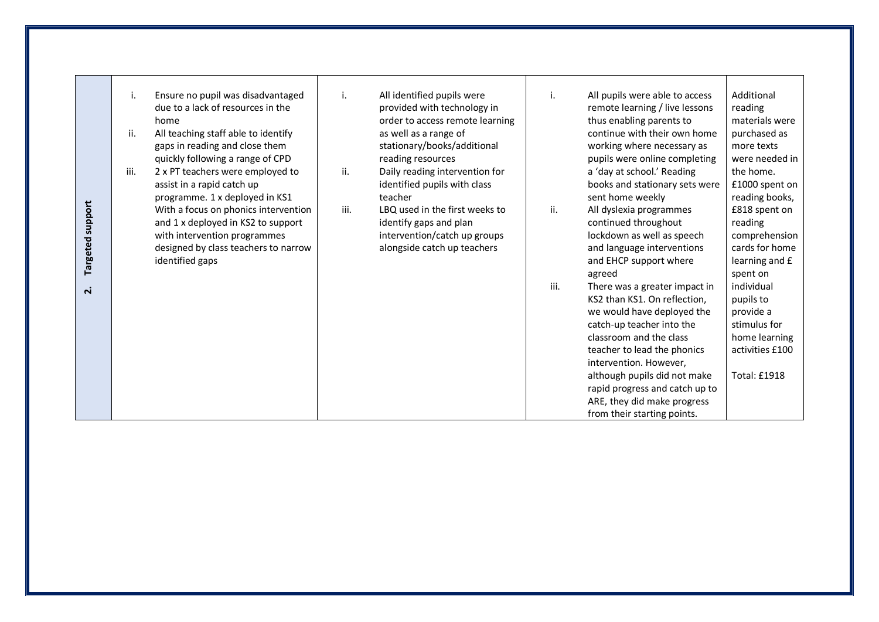| Targeted support<br>$\dot{\mathbf{r}}$ | Ensure no pupil was disadvantaged<br>i.<br>due to a lack of resources in the<br>home<br>ii.<br>All teaching staff able to identify<br>gaps in reading and close them<br>quickly following a range of CPD<br>iii.<br>2 x PT teachers were employed to<br>assist in a rapid catch up<br>programme. 1 x deployed in KS1<br>With a focus on phonics intervention<br>and 1 x deployed in KS2 to support<br>with intervention programmes<br>designed by class teachers to narrow<br>identified gaps | i.<br>ii.<br>iii. | All identified pupils were<br>provided with technology in<br>order to access remote learning<br>as well as a range of<br>stationary/books/additional<br>reading resources<br>Daily reading intervention for<br>identified pupils with class<br>teacher<br>LBQ used in the first weeks to<br>identify gaps and plan<br>intervention/catch up groups<br>alongside catch up teachers | ii.<br>iii. | All pupils were able to access<br>remote learning / live lessons<br>thus enabling parents to<br>continue with their own home<br>working where necessary as<br>pupils were online completing<br>a 'day at school.' Reading<br>books and stationary sets were<br>sent home weekly<br>All dyslexia programmes<br>continued throughout<br>lockdown as well as speech<br>and language interventions<br>and EHCP support where<br>agreed<br>There was a greater impact in<br>KS2 than KS1. On reflection,<br>we would have deployed the<br>catch-up teacher into the<br>classroom and the class<br>teacher to lead the phonics<br>intervention. However,<br>although pupils did not make<br>rapid progress and catch up to<br>ARE, they did make progress<br>from their starting points. | Additional<br>reading<br>materials were<br>purchased as<br>more texts<br>were needed in<br>the home.<br>£1000 spent on<br>reading books,<br>£818 spent on<br>reading<br>comprehension<br>cards for home<br>learning and £<br>spent on<br>individual<br>pupils to<br>provide a<br>stimulus for<br>home learning<br>activities £100<br><b>Total: £1918</b> |
|----------------------------------------|-----------------------------------------------------------------------------------------------------------------------------------------------------------------------------------------------------------------------------------------------------------------------------------------------------------------------------------------------------------------------------------------------------------------------------------------------------------------------------------------------|-------------------|-----------------------------------------------------------------------------------------------------------------------------------------------------------------------------------------------------------------------------------------------------------------------------------------------------------------------------------------------------------------------------------|-------------|------------------------------------------------------------------------------------------------------------------------------------------------------------------------------------------------------------------------------------------------------------------------------------------------------------------------------------------------------------------------------------------------------------------------------------------------------------------------------------------------------------------------------------------------------------------------------------------------------------------------------------------------------------------------------------------------------------------------------------------------------------------------------------|----------------------------------------------------------------------------------------------------------------------------------------------------------------------------------------------------------------------------------------------------------------------------------------------------------------------------------------------------------|
|----------------------------------------|-----------------------------------------------------------------------------------------------------------------------------------------------------------------------------------------------------------------------------------------------------------------------------------------------------------------------------------------------------------------------------------------------------------------------------------------------------------------------------------------------|-------------------|-----------------------------------------------------------------------------------------------------------------------------------------------------------------------------------------------------------------------------------------------------------------------------------------------------------------------------------------------------------------------------------|-------------|------------------------------------------------------------------------------------------------------------------------------------------------------------------------------------------------------------------------------------------------------------------------------------------------------------------------------------------------------------------------------------------------------------------------------------------------------------------------------------------------------------------------------------------------------------------------------------------------------------------------------------------------------------------------------------------------------------------------------------------------------------------------------------|----------------------------------------------------------------------------------------------------------------------------------------------------------------------------------------------------------------------------------------------------------------------------------------------------------------------------------------------------------|